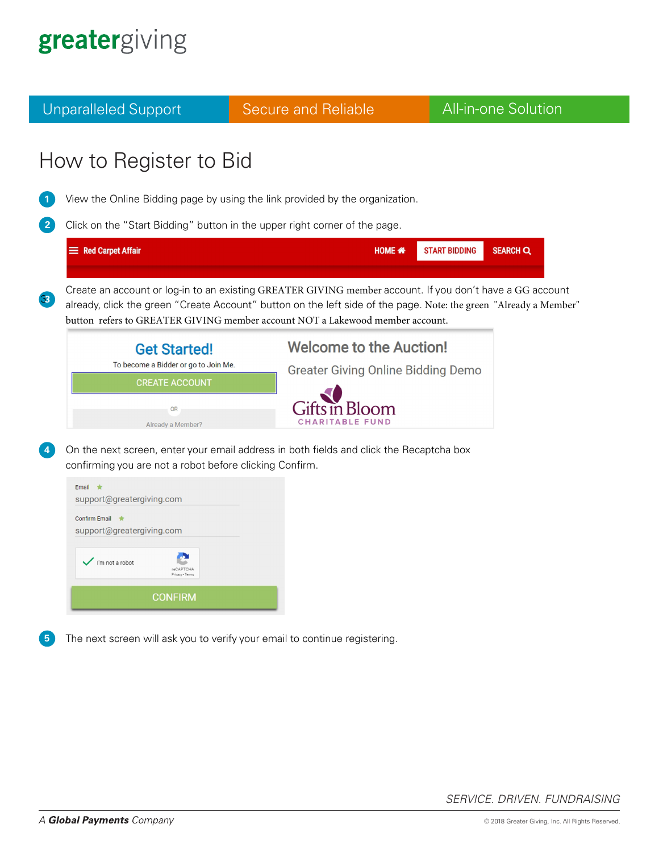Unparalleled Support **Secure and Reliable All-in-one Solution** How to Register to Bid View the Online Bidding page by using the link provided by the organization. **1 2** Click on the "Start Bidding" button in the upper right corner of the page. Red Carpet Affair HOME \* **START BIDDING SEARCH Q** Create an account or log-in to an existing GREATER GIVING member account. If you don't have a GG account 3.**3** already, click the green "Create Account" button on the left side of the page. Note: the green "Already a Member" button refers to GREATER GIVING member account NOT a Lakewood member account. **Welcome to the Auction! Get Started!** To become a Bidder or go to Join Me. **Greater Giving Online Bidding Demo CREATE ACCOUNT** Fifts in Bloom **OR** CHARITABLE FUND Already a Member? On the next screen, enter your email address in both fields and click the Recaptcha box **4** confirming you are not a robot before clicking Confirm. Email support@greatergiving.com Confirm Email ★ support@greatergiving.com I'm not a robot **CONFIRM** The next screen will ask you to verify your email to continue registering. **5**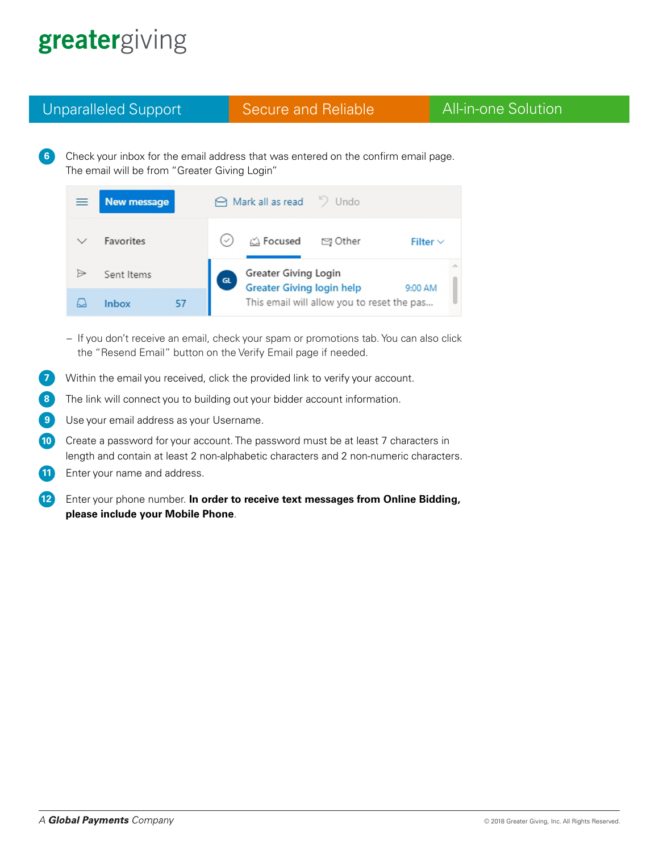Unparalleled Support **Secure and Reliable All-in-one Solution** 

6. Check your inbox for the email address that was entered on the confirm email page. The email will be from "Greater Giving Login" **6**

| ≡ | <b>New message</b> |                                            | △ Mark all as read > Undo                                       |         |               |
|---|--------------------|--------------------------------------------|-----------------------------------------------------------------|---------|---------------|
|   | <b>Favorites</b>   | $\checkmark$                               | iA Focused                                                      | ⊠ Other | Filter $\vee$ |
|   | Sent Items         | GL                                         | <b>Greater Giving Login</b><br><b>Greater Giving login help</b> |         | 9:00 AM       |
|   | 57<br>Inbox        | This email will allow you to reset the pas |                                                                 |         |               |

- If you don't receive an email, check your spam or promotions tab. You can also click the "Resend Email" button on the Verify Email page if needed.
- Within the email you received, click the provided link to verify your account. **7**
- The link will connect you to building out your bidder account information. **8**
- Use your email address as your Username. **9**
- Create a password for your account. The password must be at least 7 characters in length and contain at least 2 non-alphabetic characters and 2 non-numeric characters. **10**
- Enter your name and address. **11**

Enter your phone number. In order to receive text messages from Online Bidding, **please include your Mobile Phone**. **12**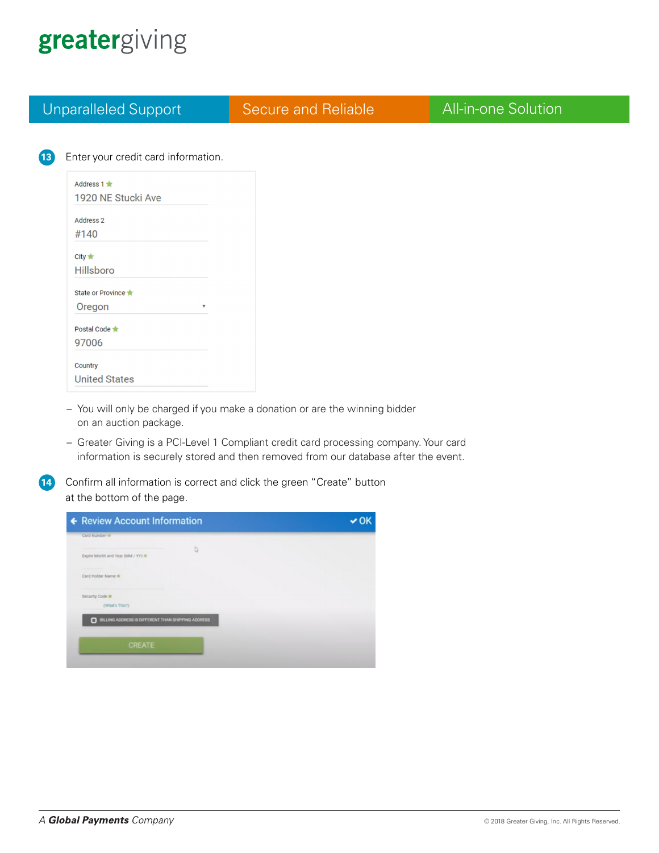| <b>Unparalleled Support</b>         | <b>Secure and Reliable</b> | <b>All-in-one Solution</b> |
|-------------------------------------|----------------------------|----------------------------|
|                                     |                            |                            |
| Enter your credit card information. |                            |                            |
|                                     |                            |                            |
| Address $1 \triangleq$              |                            |                            |
| 1920 NE Stucki Ave                  |                            |                            |
| Address 2                           |                            |                            |
| #140                                |                            |                            |
|                                     |                            |                            |
| City $\bigstar$                     |                            |                            |
| Hillsboro                           |                            |                            |
| State or Province ★                 |                            |                            |
| Oregon<br>$\boldsymbol{\mathrm{v}}$ |                            |                            |
| Postal Code                         |                            |                            |
| 97006                               |                            |                            |
|                                     |                            |                            |
| Country                             |                            |                            |
| <b>United States</b>                |                            |                            |

– Greater Giving is a PCI-Level 1 Compliant credit card processing company. Your card information is securely stored and then removed from our database after the event.

**14** Confirm all information is correct and click the green "Create" button at the bottom of the page.